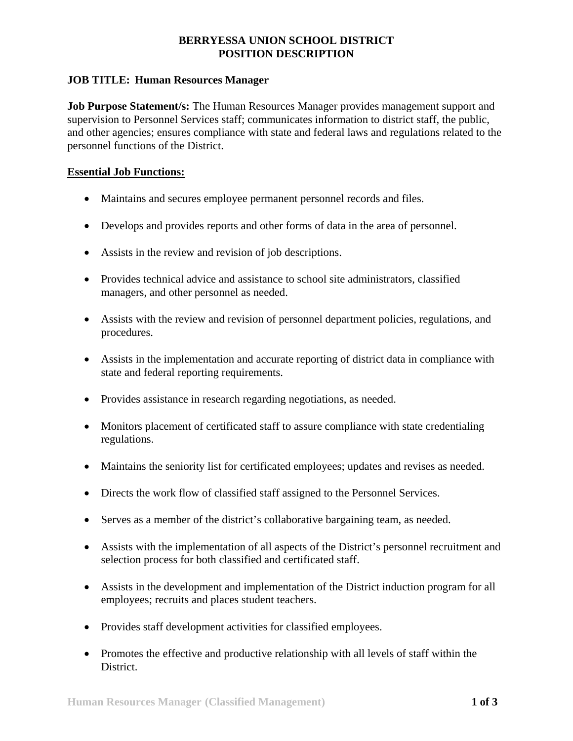## **BERRYESSA UNION SCHOOL DISTRICT POSITION DESCRIPTION**

## **JOB TITLE: Human Resources Manager**

**Job Purpose Statement/s:** The Human Resources Manager provides management support and supervision to Personnel Services staff; communicates information to district staff, the public, and other agencies; ensures compliance with state and federal laws and regulations related to the personnel functions of the District.

## **Essential Job Functions:**

- Maintains and secures employee permanent personnel records and files.
- Develops and provides reports and other forms of data in the area of personnel.
- Assists in the review and revision of job descriptions.
- Provides technical advice and assistance to school site administrators, classified managers, and other personnel as needed.
- Assists with the review and revision of personnel department policies, regulations, and procedures.
- Assists in the implementation and accurate reporting of district data in compliance with state and federal reporting requirements.
- Provides assistance in research regarding negotiations, as needed.
- Monitors placement of certificated staff to assure compliance with state credentialing regulations.
- Maintains the seniority list for certificated employees; updates and revises as needed.
- Directs the work flow of classified staff assigned to the Personnel Services.
- Serves as a member of the district's collaborative bargaining team, as needed.
- Assists with the implementation of all aspects of the District's personnel recruitment and selection process for both classified and certificated staff.
- Assists in the development and implementation of the District induction program for all employees; recruits and places student teachers.
- Provides staff development activities for classified employees.
- Promotes the effective and productive relationship with all levels of staff within the District.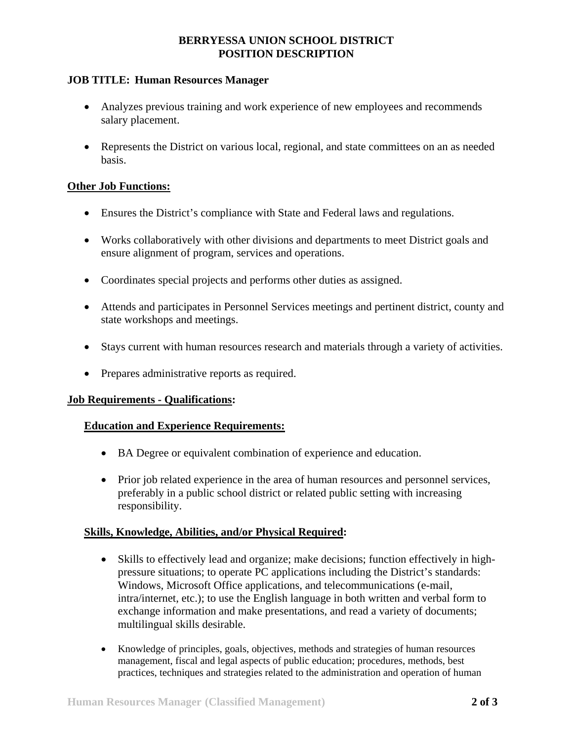## **BERRYESSA UNION SCHOOL DISTRICT POSITION DESCRIPTION**

## **JOB TITLE: Human Resources Manager**

- Analyzes previous training and work experience of new employees and recommends salary placement.
- Represents the District on various local, regional, and state committees on an as needed basis.

### **Other Job Functions:**

- Ensures the District's compliance with State and Federal laws and regulations.
- Works collaboratively with other divisions and departments to meet District goals and ensure alignment of program, services and operations.
- Coordinates special projects and performs other duties as assigned.
- Attends and participates in Personnel Services meetings and pertinent district, county and state workshops and meetings.
- Stays current with human resources research and materials through a variety of activities.
- Prepares administrative reports as required.

### **Job Requirements - Qualifications:**

### **Education and Experience Requirements:**

- BA Degree or equivalent combination of experience and education.
- Prior job related experience in the area of human resources and personnel services, preferably in a public school district or related public setting with increasing responsibility.

### **Skills, Knowledge, Abilities, and/or Physical Required:**

- Skills to effectively lead and organize; make decisions; function effectively in highpressure situations; to operate PC applications including the District's standards: Windows, Microsoft Office applications, and telecommunications (e-mail, intra/internet, etc.); to use the English language in both written and verbal form to exchange information and make presentations, and read a variety of documents; multilingual skills desirable.
- Knowledge of principles, goals, objectives, methods and strategies of human resources management, fiscal and legal aspects of public education; procedures, methods, best practices, techniques and strategies related to the administration and operation of human